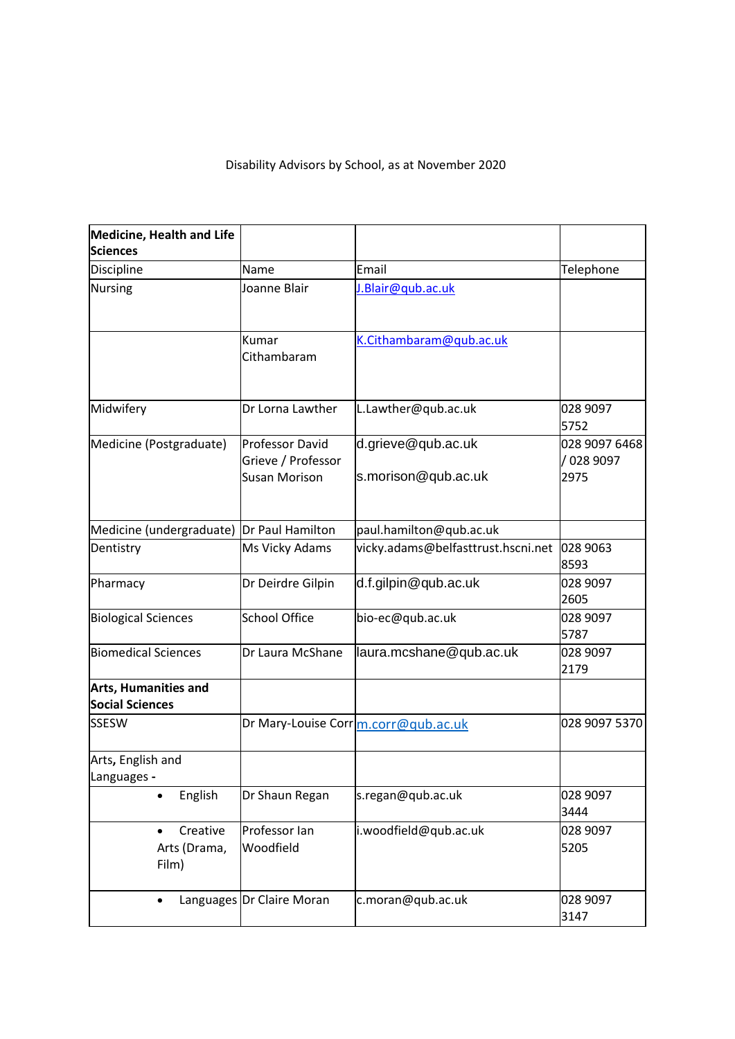## Disability Advisors by School, as at November 2020

| <b>Medicine, Health and Life</b><br><b>Sciences</b>   |                                                               |                                           |                                   |
|-------------------------------------------------------|---------------------------------------------------------------|-------------------------------------------|-----------------------------------|
| Discipline                                            | Name                                                          | Email                                     | Telephone                         |
| <b>Nursing</b>                                        | Joanne Blair                                                  | J.Blair@qub.ac.uk                         |                                   |
|                                                       | Kumar<br>Cithambaram                                          | K.Cithambaram@qub.ac.uk                   |                                   |
| Midwifery                                             | Dr Lorna Lawther                                              | L.Lawther@qub.ac.uk                       | 028 9097<br>5752                  |
| Medicine (Postgraduate)                               | <b>Professor David</b><br>Grieve / Professor<br>Susan Morison | d.grieve@qub.ac.uk<br>s.morison@qub.ac.uk | 028 9097 6468<br>028 9097<br>2975 |
| Medicine (undergraduate) Dr Paul Hamilton             |                                                               | paul.hamilton@qub.ac.uk                   |                                   |
| Dentistry                                             | Ms Vicky Adams                                                | vicky.adams@belfasttrust.hscni.net        | 028 9063<br>8593                  |
| Pharmacy                                              | Dr Deirdre Gilpin                                             | d.f.gilpin@qub.ac.uk                      | 028 9097<br>2605                  |
| <b>Biological Sciences</b>                            | <b>School Office</b>                                          | bio-ec@qub.ac.uk                          | 028 9097<br>5787                  |
| <b>Biomedical Sciences</b>                            | Dr Laura McShane                                              | laura.mcshane@qub.ac.uk                   | 028 9097<br>2179                  |
| <b>Arts, Humanities and</b><br><b>Social Sciences</b> |                                                               |                                           |                                   |
| <b>SSESW</b>                                          |                                                               | Dr Mary-Louise Corrm.corr@qub.ac.uk       | 028 9097 5370                     |
| Arts, English and<br>Languages                        |                                                               |                                           |                                   |
| English<br>$\bullet$                                  | Dr Shaun Regan                                                | s.regan@qub.ac.uk                         | 028 9097<br>3444                  |
| Creative<br>Arts (Drama,<br>Film)                     | Professor Ian<br>Woodfield                                    | i.woodfield@qub.ac.uk                     | 028 9097<br>5205                  |
| $\bullet$                                             | Languages Dr Claire Moran                                     | c.moran@qub.ac.uk                         | 028 9097<br>3147                  |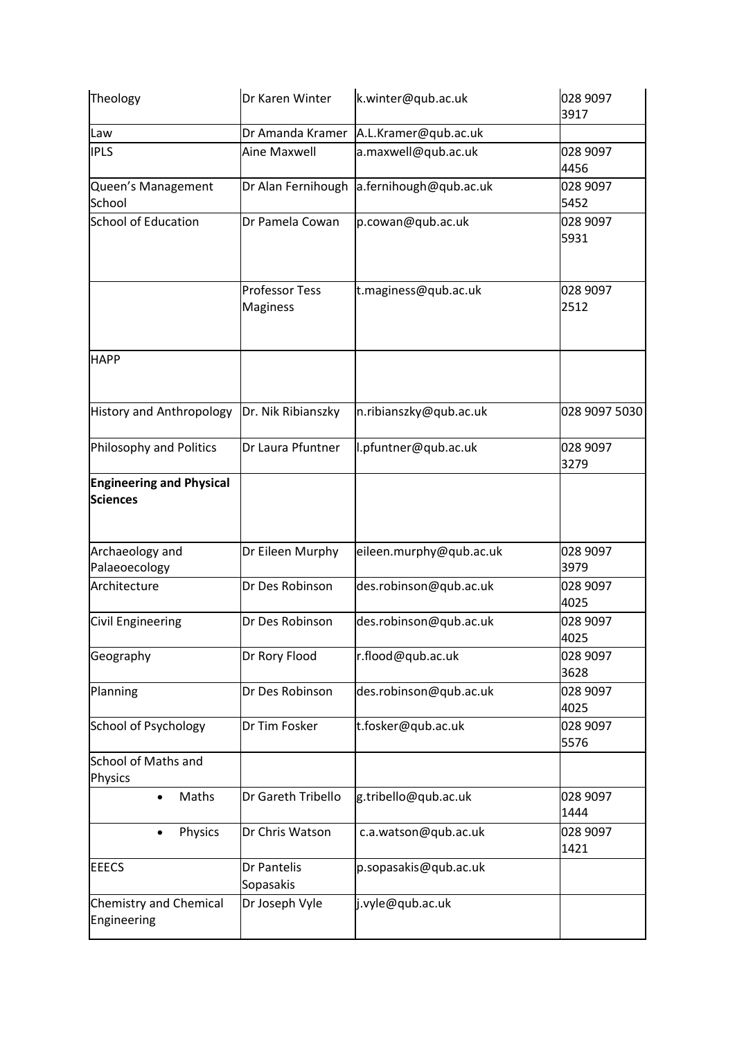| Theology                                           | Dr Karen Winter                          | k.winter@qub.ac.uk      | 028 9097<br>3917 |
|----------------------------------------------------|------------------------------------------|-------------------------|------------------|
| Law                                                | Dr Amanda Kramer                         | A.L.Kramer@qub.ac.uk    |                  |
| <b>IPLS</b>                                        | Aine Maxwell                             | a.maxwell@qub.ac.uk     | 028 9097<br>4456 |
| Queen's Management<br>School                       | Dr Alan Fernihough                       | a.fernihough@qub.ac.uk  | 028 9097<br>5452 |
| <b>School of Education</b>                         | Dr Pamela Cowan                          | p.cowan@qub.ac.uk       | 028 9097<br>5931 |
|                                                    | <b>Professor Tess</b><br><b>Maginess</b> | t.maginess@qub.ac.uk    | 028 9097<br>2512 |
| <b>HAPP</b>                                        |                                          |                         |                  |
| <b>History and Anthropology</b>                    | Dr. Nik Ribianszky                       | n.ribianszky@qub.ac.uk  | 028 9097 5030    |
| Philosophy and Politics                            | Dr Laura Pfuntner                        | l.pfuntner@qub.ac.uk    | 028 9097<br>3279 |
| <b>Engineering and Physical</b><br><b>Sciences</b> |                                          |                         |                  |
| Archaeology and<br>Palaeoecology                   | Dr Eileen Murphy                         | eileen.murphy@qub.ac.uk | 028 9097<br>3979 |
| Architecture                                       | Dr Des Robinson                          | des.robinson@qub.ac.uk  | 028 9097<br>4025 |
| Civil Engineering                                  | Dr Des Robinson                          | des.robinson@qub.ac.uk  | 028 9097<br>4025 |
| Geography                                          | Dr Rory Flood                            | r.flood@qub.ac.uk       | 028 9097<br>3628 |
| Planning                                           | Dr Des Robinson                          | des.robinson@qub.ac.uk  | 028 9097<br>4025 |
| <b>School of Psychology</b>                        | Dr Tim Fosker                            | t.fosker@qub.ac.uk      | 028 9097<br>5576 |
| <b>School of Maths and</b><br>Physics              |                                          |                         |                  |
| Maths<br>$\bullet$                                 | Dr Gareth Tribello                       | g.tribello@qub.ac.uk    | 028 9097<br>1444 |
| Physics<br>$\bullet$                               | Dr Chris Watson                          | c.a.watson@qub.ac.uk    | 028 9097<br>1421 |
| <b>EEECS</b>                                       | Dr Pantelis<br>Sopasakis                 | p.sopasakis@qub.ac.uk   |                  |
| Chemistry and Chemical<br>Engineering              | Dr Joseph Vyle                           | j.vyle@qub.ac.uk        |                  |